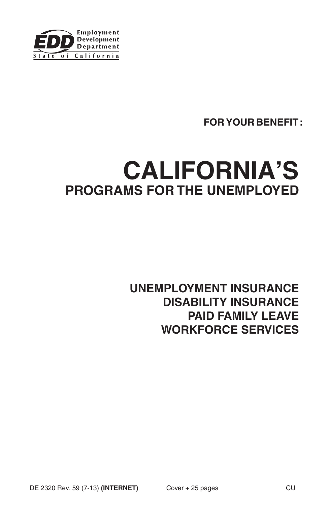

# **FOR YOUR BENEFIT:**

# **CALIFORNIA'S PROGRAMS FOR THE UNEMPLOYED**

**UNEMPLOYMENT INSURANCE DISABILITY INSURANCE PAID FAMILY LEAVE WORKFORCE SERVICES**

DE 2320 Rev. 59 (7-13) (INTERNET) Cover + 25 pages CU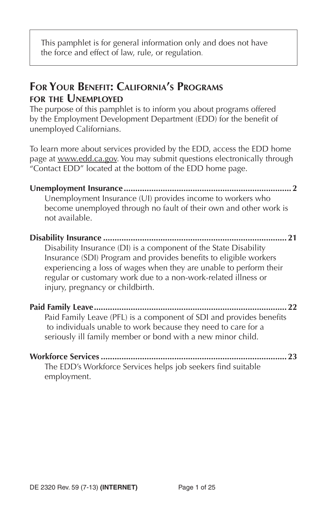This pamphlet is for general information only and does not have the force and effect of law, rule, or regulation.

# **FOR YOUR BENEFIT: CALIFORNIA'S PROGRAMS FOR THE UNEMPLOYED**

The purpose of this pamphlet is to inform you about programs offered by the Employment Development Department (EDD) for the benefit of unemployed Californians.

To learn more about services provided by the EDD, access the EDD home page at www.edd.ca.gov. You may submit questions electronically through "Contact EDD" located at the bottom of the EDD home page.

**Unemployment Insurance ......................................................................... 2** Unemployment Insurance (UI) provides income to workers who become unemployed through no fault of their own and other work is not available.

### **Disability Insurance ................................................................................ 21** Disability Insurance (DI) is a component of the State Disability Insurance (SDI) Program and provides benefits to eligible workers experiencing a loss of wages when they are unable to perform their regular or customary work due to a non-work-related illness or injury, pregnancy or childbirth.

**Paid Family Leave .................................................................................... 22** Paid Family Leave (PFL) is a component of SDI and provides benefits to individuals unable to work because they need to care for a seriously ill family member or bond with a new minor child.

| The EDD's Workforce Services helps job seekers find suitable |  |
|--------------------------------------------------------------|--|
| employment.                                                  |  |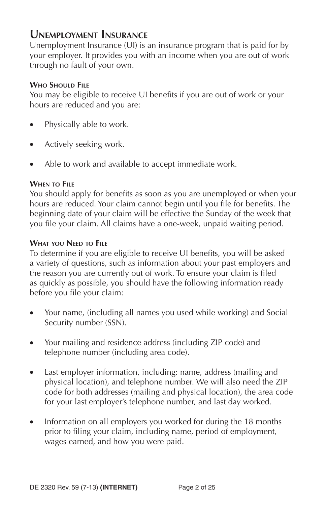# **UNEMPLOYMENT INSURANCE**

Unemployment Insurance (UI) is an insurance program that is paid for by your employer. It provides you with an income when you are out of work through no fault of your own.

### **WHO SHOULD FILE**

You may be eligible to receive UI benefits if you are out of work or your hours are reduced and you are:

- Physically able to work.
- Actively seeking work.
- Able to work and available to accept immediate work.

### **WHEN TO FILE**

You should apply for benefits as soon as you are unemployed or when your hours are reduced. Your claim cannot begin until you file for benefits. The beginning date of your claim will be effective the Sunday of the week that you file your claim. All claims have a one-week, unpaid waiting period.

### **WHAT YOU NEED TO FILE**

To determine if you are eligible to receive UI benefits, you will be asked a variety of questions, such as information about your past employers and the reason you are currently out of work. To ensure your claim is filed as quickly as possible, you should have the following information ready before you file your claim:

- Your name, (including all names you used while working) and Social Security number (SSN).
- Your mailing and residence address (including ZIP code) and telephone number (including area code).
- Last employer information, including: name, address (mailing and physical location), and telephone number. We will also need the ZIP code for both addresses (mailing and physical location), the area code for your last employer's telephone number, and last day worked.
- Information on all employers you worked for during the 18 months prior to filing your claim, including name, period of employment, wages earned, and how you were paid.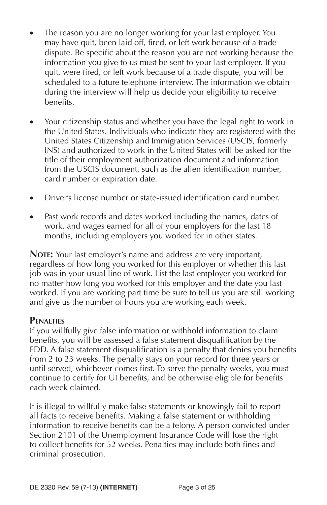- The reason you are no longer working for your last employer. You may have quit, been laid off, fired, or left work because of a trade dispute. Be specific about the reason you are not working because the information you give to us must be sent to your last employer. If you quit, were fired, or left work because of a trade dispute, you will be scheduled to a future telephone interview. The information we obtain during the interview will help us decide your eligibility to receive benefits.
- Your citizenship status and whether you have the legal right to work in the United States. Individuals who indicate they are registered with the United States Citizenship and Immigration Services (USCIS, formerly INS) and authorized to work in the United States will be asked for the title of their employment authorization document and information from the USCIS document, such as the alien identification number, card number or expiration date.
- Driver's license number or state-issued identification card number.
- Past work records and dates worked including the names, dates of work, and wages earned for all of your employers for the last 18 months, including employers you worked for in other states.

**NOTE:** Your last employer's name and address are very important, regardless of how long you worked for this employer or whether this last job was in your usual line of work. List the last employer you worked for no matter how long you worked for this employer and the date you last worked. If you are working part time be sure to tell us you are still working and give us the number of hours you are working each week.

#### **PENALTIES**

If you willfully give false information or withhold information to claim benefits, you will be assessed a false statement disqualification by the EDD. A false statement disqualification is a penalty that denies you benefits from 2 to 23 weeks. The penalty stays on your record for three years or until served, whichever comes first. To serve the penalty weeks, you must continue to certify for UI benefits, and be otherwise eligible for benefits each week claimed.

It is illegal to willfully make false statements or knowingly fail to report all facts to receive benefits. Making a false statement or withholding information to receive benefits can be a felony. A person convicted under Section 2101 of the Unemployment Insurance Code will lose the right to collect benefits for 52 weeks. Penalties may include both fines and criminal prosecution.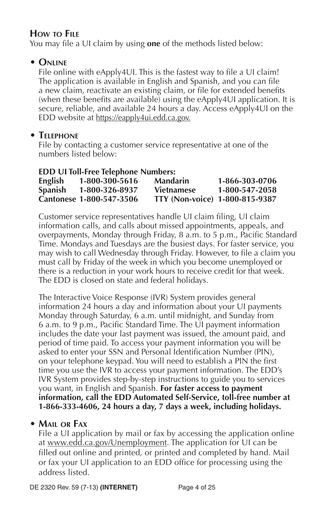# **HOW TO FILE**

You may file a UI claim by using **one** of the methods listed below:

# **• ONLINE**

File online with eApply4UI. This is the fastest way to file a UI claim! The application is available in English and Spanish, and you can file a new claim, reactivate an existing claim, or file for extended benefits (when these benefits are available) using the eApply4UI application. It is secure, reliable, and available 24 hours a day. Access eApply4UI on the EDD website at https://eapply4ui.edd.ca.gov.

# **• TELEPHONE**

File by contacting a customer service representative at one of the numbers listed below:

| <b>EDD UI Toll-Free Telephone Numbers:</b> |                          |                                |                |  |  |
|--------------------------------------------|--------------------------|--------------------------------|----------------|--|--|
| English                                    | 1-800-300-5616           | <b>Mandarin</b>                | 1-866-303-0706 |  |  |
| <b>Spanish</b>                             | 1-800-326-8937           | <b>Vietnamese</b>              | 1-800-547-2058 |  |  |
|                                            | Cantonese 1-800-547-3506 | TTY (Non-voice) 1-800-815-9387 |                |  |  |

Customer service representatives handle UI claim filing, UI claim information calls, and calls about missed appointments, appeals, and overpayments, Monday through Friday, 8 a.m. to 5 p.m., Pacific Standard Time. Mondays and Tuesdays are the busiest days. For faster service, you may wish to call Wednesday through Friday. However, to file a claim you must call by Friday of the week in which you become unemployed or there is a reduction in your work hours to receive credit for that week. The EDD is closed on state and federal holidays.

The Interactive Voice Response (IVR) System provides general information 24 hours a day and information about your UI payments Monday through Saturday, 6 a.m. until midnight, and Sunday from 6 a.m. to 9 p.m., Pacific Standard Time. The UI payment information includes the date your last payment was issued, the amount paid, and period of time paid. To access your payment information you will be asked to enter your SSN and Personal Identification Number (PIN), on your telephone keypad. You will need to establish a PIN the first time you use the IVR to access your payment information. The EDD's IVR System provides step-by-step instructions to guide you to services you want, in English and Spanish. **For faster access to payment information, call the EDD Automated Self-Service, toll-free number at 1-866-333-4606, 24 hours a day, 7 days a week, including holidays.**

# **• MAIL OR FAX**

File a UI application by mail or fax by accessing the application online at www.edd.ca.gov/Unemployment. The application for UI can be filled out online and printed, or printed and completed by hand. Mail or fax your UI application to an EDD office for processing using the address listed.

DE 2320 Rev. 59 (7-13) **(INTERNET)** Page 4 of 25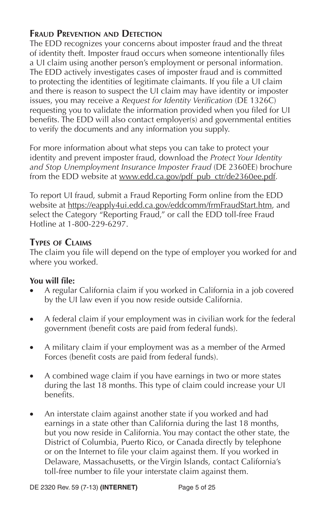# **FRAUD PREVENTION AND DETECTION**

The EDD recognizes your concerns about imposter fraud and the threat of identity theft. Imposter fraud occurs when someone intentionally files a UI claim using another person's employment or personal information. The EDD actively investigates cases of imposter fraud and is committed to protecting the identities of legitimate claimants. If you file a UI claim and there is reason to suspect the UI claim may have identity or imposter issues, you may receive a *Request for Identity Verification* (DE 1326C) requesting you to validate the information provided when you filed for UI benefits. The EDD will also contact employer(s) and governmental entities to verify the documents and any information you supply.

For more information about what steps you can take to protect your identity and prevent imposter fraud, download the *Protect Your Identity and Stop Unemployment Insurance Imposter Fraud* (DE 2360EE) brochure from the EDD website at www.edd.ca.gov/pdf\_pub\_ctr/de2360ee.pdf.

To report UI fraud, submit a Fraud Reporting Form online from the EDD website at https://eapply4ui.edd.ca.gov/eddcomm/frmFraudStart.htm, and select the Category "Reporting Fraud," or call the EDD toll-free Fraud Hotline at 1-800-229-6297.

### **TYPES OF CLAIMS**

The claim you file will depend on the type of employer you worked for and where you worked.

#### **You will file:**

- A regular California claim if you worked in California in a job covered by the UI law even if you now reside outside California.
- A federal claim if your employment was in civilian work for the federal government (benefit costs are paid from federal funds).
- A military claim if your employment was as a member of the Armed Forces (benefit costs are paid from federal funds).
- A combined wage claim if you have earnings in two or more states during the last 18 months. This type of claim could increase your UI benefits.
- An interstate claim against another state if you worked and had earnings in a state other than California during the last 18 months, but you now reside in California. You may contact the other state, the District of Columbia, Puerto Rico, or Canada directly by telephone or on the Internet to file your claim against them. If you worked in Delaware, Massachusetts, or the Virgin Islands, contact California's toll-free number to file your interstate claim against them.

DE 2320 Rev. 59 (7-13) **(INTERNET)** Page 5 of 25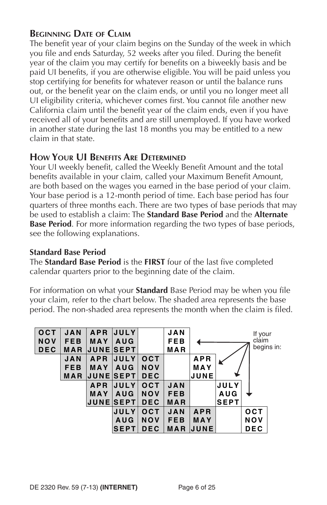### **BEGINNING DATE OF CLAIM**

The benefit year of your claim begins on the Sunday of the week in which you file and ends Saturday, 52 weeks after you filed. During the benefit year of the claim you may certify for benefits on a biweekly basis and be paid UI benefits, if you are otherwise eligible. You will be paid unless you stop certifying for benefits for whatever reason or until the balance runs out, or the benefit year on the claim ends, or until you no longer meet all UI eligibility criteria, whichever comes first. You cannot file another new California claim until the benefit year of the claim ends, even if you have received all of your benefits and are still unemployed. If you have worked in another state during the last 18 months you may be entitled to a new claim in that state.

### **HOW YOUR UI BENEFITS ARE DETERMINED**

Your UI weekly benefit, called the Weekly Benefit Amount and the total benefits available in your claim, called your Maximum Benefit Amount, are both based on the wages you earned in the base period of your claim. Your base period is a 12-month period of time. Each base period has four quarters of three months each. There are two types of base periods that may be used to establish a claim: The **Standard Base Period** and the **Alternate Base Period**. For more information regarding the two types of base periods, see the following explanations.

#### **Standard Base Period**

The **Standard Base Period** is the **FIRST** four of the last five completed calendar quarters prior to the beginning date of the claim.

For information on what your **Standard** Base Period may be when you file your claim, refer to the chart below. The shaded area represents the base period. The non-shaded area represents the month when the claim is filed.

| OCT        | <b>JAN</b> | <b>APR</b>      | <b>JULY</b>      |            | <b>JAN</b> |             |             | If your    |            |
|------------|------------|-----------------|------------------|------------|------------|-------------|-------------|------------|------------|
| <b>NOV</b> | <b>FEB</b> | <b>MAY</b>      | <b>AUG</b>       |            | <b>FEB</b> |             |             | claim      |            |
| <b>DEC</b> | <b>MAR</b> | <b>JUNESEPT</b> |                  |            | MAR        |             |             |            | begins in: |
|            | <b>JAN</b> | <b>APR</b>      | <b>JULY</b>      | OCT        |            | <b>APR</b>  |             |            |            |
|            | <b>FEB</b> | <b>MAY</b>      | <b>AUG</b>       | <b>NOV</b> |            | MAY         |             |            |            |
|            | MAR        |                 | <b>JUNESEPTI</b> | <b>DEC</b> |            | JUNE        |             |            |            |
|            |            | <b>APR</b>      | JULY             | <b>OCT</b> | <b>JAN</b> |             | <b>JULY</b> |            |            |
|            |            | <b>MAY</b>      | <b>AUG</b>       | <b>NOV</b> | <b>FEB</b> |             | <b>AUG</b>  |            |            |
|            |            |                 | <b>JUNESEPTI</b> | <b>DEC</b> | MAR        |             | <b>SEPT</b> |            |            |
|            |            |                 | JULY             | <b>OCT</b> | <b>JAN</b> | <b>APR</b>  |             | <b>OCT</b> |            |
|            |            |                 | <b>AUG</b>       | <b>NOV</b> | <b>FEB</b> | MAY         |             | NOV        |            |
|            |            |                 | <b>SEPT</b>      | <b>DEC</b> | <b>MAR</b> | <b>JUNE</b> |             | <b>DEC</b> |            |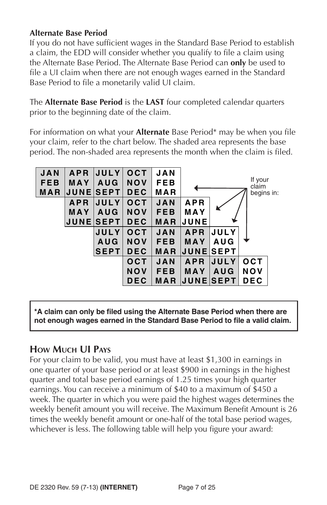### **Alternate Base Period**

If you do not have sufficient wages in the Standard Base Period to establish a claim, the EDD will consider whether you qualify to file a claim using the Alternate Base Period. The Alternate Base Period can **only** be used to file a UI claim when there are not enough wages earned in the Standard Base Period to file a monetarily valid UI claim.

The **Alternate Base Period** is the **LAST** four completed calendar quarters prior to the beginning date of the claim.

For information on what your **Alternate** Base Period<sup>\*</sup> may be when you file your claim, refer to the chart below. The shaded area represents the base period. The non-shaded area represents the month when the claim is filed.



**\*A claim can only be fi led using the Alternate Base Period when there are not enough wages earned in the Standard Base Period to fi le a valid claim.**

### **HOW MUCH UI PAYS**

For your claim to be valid, you must have at least \$1,300 in earnings in one quarter of your base period or at least \$900 in earnings in the highest quarter and total base period earnings of 1.25 times your high quarter earnings. You can receive a minimum of \$40 to a maximum of \$450 a week. The quarter in which you were paid the highest wages determines the weekly benefit amount you will receive. The Maximum Benefit Amount is 26 times the weekly benefit amount or one-half of the total base period wages, whichever is less. The following table will help you figure your award: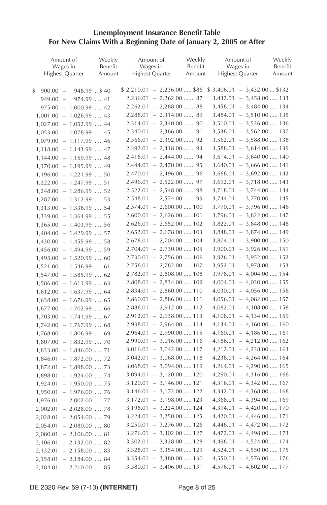#### **Unemployment Insurance Benefit Table For New Claims With a Beginning Date of January 2, 2005 or After**

| Amount of                                                          | Weekly  |          | Amount of                        | Weekly  | Amount of                         | Weekly  |
|--------------------------------------------------------------------|---------|----------|----------------------------------|---------|-----------------------------------|---------|
| Wages in                                                           | Benefit |          | Wages in                         | Benefit | Wages in                          | Benefit |
| Highest Quarter                                                    | Amount  |          | <b>Highest Quarter</b>           | Amount  | <b>Highest Quarter</b>            | Amount  |
| $900.00 -$<br>948.99  \$40                                         |         |          | $$2,210.01 - 2,236.00 \dots $86$ |         | $$3,406.01 - 3,432.00 \dots $132$ |         |
| \$<br>974.99  41<br>$949.00 -$                                     |         |          | $2,236.01 - 2,262.00 \dots 87$   |         | $3,432.01 - 3,458.00 \ldots 133$  |         |
|                                                                    |         |          | $2,262.01 - 2,288.00 \dots 88$   |         | $3,458.01 - 3,484.00 \ldots 134$  |         |
| $975.00 - 1,000.99 \dots .42$                                      |         |          | $2,288.01 - 2,314.00 \dots 89$   |         | $3,484.01 - 3,510.00 \ldots 135$  |         |
| $1,001.00 - 1,026.99 \ldots .43$                                   |         |          | $2,314.01 - 2,340.00 \dots 90$   |         | $3,510.01 - 3,536.00 \ldots 136$  |         |
| $1,027.00 - 1,052.99 \ldots$ 44                                    |         |          | $2,340.01 - 2,366.00 \dots 91$   |         | $3,536.01 - 3,562.00 \ldots 137$  |         |
| $1,053.00 - 1,078.99 \ldots$ 45<br>$1,079.00 - 1,117.99 \ldots$ 46 |         |          | $2,366.01 - 2,392.00 \dots 92$   |         | $3,562.01 - 3,588.00 \ldots$ 138  |         |
| $1,118.00 - 1,143.99 \ldots$ 47                                    |         |          | $2,392.01 - 2,418.00 \dots 93$   |         | $3,588.01 - 3,614.00 \ldots 139$  |         |
|                                                                    |         |          | $2,418.01 - 2,444.00 \dots 94$   |         | $3,614.01 - 3,640.00 \ldots 140$  |         |
| $1,144.00 - 1,169.99 \ldots$ 48                                    |         | 2,444.01 | $-2,470.00$ 95                   |         | $3,640.01 - 3,666.00 \ldots$ 141  |         |
| $1,170.00 - 1,195.99 \ldots$ 49                                    |         |          | $2,470.01 - 2,496.00 \dots 96$   |         | $3,666.01 - 3,692.00 \ldots 142$  |         |
| $1,196.00 - 1,221.99 \ldots 50$                                    |         | 2,496.01 | $-2,522.00$ 97                   |         | $3,692.01 - 3,718.00 \ldots$ 143  |         |
| $1,222.00 - 1,247.99 \ldots .51$                                   |         | 2,522.01 | $-2,548.00 \dots 98$             |         | $3,718.01 - 3,744.00 \ldots$ 144  |         |
| $1,248.00 - 1,286.99 \ldots 52$                                    |         |          |                                  |         | $3,744.01 - 3,770.00 \dots 145$   |         |
| $1,287.00 - 1,312.99 \ldots .53$                                   |         | 2,548.01 | $-2,574.00$ 99                   |         |                                   |         |
| $1,313.00 - 1,338.99 \ldots .54$                                   |         | 2,574.01 | $-2,600.00 \dots 100$            |         | $3,770.01 - 3,796.00 \ldots 146$  |         |
| $1,339.00 - 1,364.99 \ldots .55$                                   |         | 2,600.01 | $-2,626.00 \dots 101$            |         | $3,796.01 - 3,822.00 \ldots$ 147  |         |
| $1,365.00 - 1,403.99 \ldots .56$                                   |         | 2,626.01 | $-2,652.00 \dots 102$            |         | $3,822.01 - 3,848.00 \ldots$ 148  |         |
| $1,404.00 - 1,429.99 \ldots .57$                                   |         | 2,652.01 | $-2,678.00 \ldots 103$           |         | $3,848.01 - 3,874.00 \ldots$ 149  |         |
| $1,430.00 - 1,455.99 \ldots .58$                                   |         | 2,678.01 | $-2,704.00 \ldots 104$           |         | $3,874.01 - 3,900.00 \dots 150$   |         |
| $1,456.00 - 1,494.99 \ldots .59$                                   |         | 2,704.01 | $-2,730.00 \ldots 105$           |         | $3,900.01 - 3,926.00 \ldots 151$  |         |
| $1,495.00 - 1,520.99 \dots 60$                                     |         | 2,730.01 | $-2,756.00 \ldots 106$           |         | $3,926.01 - 3,952.00 \dots 152$   |         |
| $1,521.00 - 1,546.99 \ldots$ 61                                    |         | 2,756.01 | $-2,782.00 \ldots 107$           |         | $3,952.01 - 3,978.00 \dots 153$   |         |
| $1,547.00 - 1,585.99 \dots 62$                                     |         | 2,782.01 | $-2,808.00 \ldots 108$           |         | $3,978.01 - 4,004.00 \ldots 154$  |         |
| $1,586.00 - 1,611.99 \ldots$ 63                                    |         | 2,808.01 | $-2,834.00 \ldots 109$           |         | $4,004.01 - 4,030.00 \ldots$ 155  |         |
| $1,612.00 - 1,637.99 \ldots .64$                                   |         | 2,834.01 | $-2,860.00 \dots 110$            |         | $4,030.01 - 4,056.00 \ldots 156$  |         |
| $1,638.00 - 1,676.99 \ldots .65$                                   |         | 2,860.01 | $-2,886.00 \ldots 111$           |         | $4,056.01 - 4,082.00 \ldots 157$  |         |
| $1,677.00 - 1,702.99 \ldots 66$                                    |         | 2,886.01 | $-2,912.00 \ldots 112$           |         | $4,082.01 - 4,108.00 \ldots 158$  |         |
| $1,703.00 - 1,741.99 \ldots 67$                                    |         | 2,912.01 | $-2,938.00 \ldots 113$           |         | $4,108.01 - 4,134.00 \ldots 159$  |         |
| $1,742.00 - 1,767.99 \ldots$ 68                                    |         | 2,938.01 | $-2,964.00 \ldots 114$           |         | $4,134.01 - 4,160.00 \ldots 160$  |         |
| $1,768.00 - 1,806.99 \ldots$ 69                                    |         | 2,964.01 | $-2,990.00 \dots 115$            |         | $4,160.01 - 4,186.00 \ldots 161$  |         |
| $1,807.00 - 1,832.99 \dots 70$                                     |         | 2,990.01 | $-3,016.00$ 116                  |         | $4,186.01 - 4,212.00 \ldots 162$  |         |
| $1,833.00 - 1,846.00 \ldots .71$                                   |         | 3,016.01 | $-3,042.00 \ldots 117$           |         | $4,212.01 - 4,238.00 \ldots 163$  |         |
| $-1,872.00 \dots 72$<br>1,846.01                                   |         | 3,042.01 | $-3,068.00$ 118                  |         | $4,238.01 - 4,264.00 \ldots 164$  |         |
| $-1,898.00$ 73<br>1,872.01                                         |         | 3,068.01 | $-3,094.00$ 119                  |         | $4,264.01 - 4,290.00 \ldots 165$  |         |
| $-1,924.00$ 74<br>1,898.01                                         |         | 3,094.01 | $-3,120.00$ 120                  |         | $4,290.01 - 4,316.00 \ldots 166$  |         |
| $-1,950.00$ 75<br>1,924.01                                         |         |          | $3,120.01 - 3,146.00 \ldots 121$ |         | 4,316.01 - 4,342.00  167          |         |
| $-1,976.00$ 76<br>1,950.01                                         |         |          | $3,146.01 - 3,172.00 \ldots 122$ |         | $4,342.01 - 4,368.00 \ldots 168$  |         |
| $-2,002.00$ 77<br>1,976.01                                         |         |          | $3,172.01 - 3,198.00 \ldots 123$ |         | $4,368.01 - 4,394.00 \ldots 169$  |         |
| $-2,028.00$ 78<br>2,002.01                                         |         | 3,198.01 | $-3,224.00 \ldots 124$           |         | 4,394.01 - 4,420.00  170          |         |
| $-2,054.00$ 79<br>2,028.01                                         |         |          | $3,224.01 - 3,250.00 \dots 125$  |         | $4,420.01 - 4,446.00 \ldots 171$  |         |
| $-2,080.00$ 80<br>2,054.01                                         |         |          | $3,250.01 - 3,276.00 \ldots 126$ |         | $4,446.01 - 4,472.00 \ldots 172$  |         |
| $-2,106.00$ 81<br>2,080.01                                         |         |          | $3,276.01 - 3,302.00 \ldots 127$ |         | $4,472.01 - 4,498.00 \ldots 173$  |         |
| $-2,132.00 \ldots 82$<br>2,106.01                                  |         | 3,302.01 | $-3,328.00 \ldots 128$           |         | 4,498.01 - 4,524.00  . 174        |         |
| $2,132.01 - 2,158.00 \ldots$ 83                                    |         |          | $3,328.01 - 3,354.00 \dots 129$  |         | $4,524.01 - 4,550.00 \ldots$ 175  |         |
| $2,158.01 - 2,184.00 \ldots 84$                                    |         |          | $3,354.01 - 3,380.00 \dots 130$  |         | $4,550.01 - 4,576.00 \ldots 176$  |         |
| $2,184.01 - 2,210.00 \ldots 85$                                    |         |          | $3,380.01 - 3,406.00 \dots 131$  |         | $4,576.01 - 4,602.00 \ldots 177$  |         |
|                                                                    |         |          |                                  |         |                                   |         |

DE 2320 Rev. 59 (7-13) **(INTERNET)** Page 8 of 25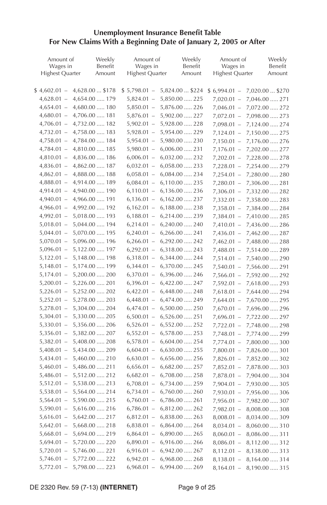#### **Unemployment Insurance Benefit Table For New Claims With a Beginning Date of January 2, 2005 or After**

| Amount of       | Weekly                           | Amount of              | Weekly                                                              | Amount of                    | Weekly                           |
|-----------------|----------------------------------|------------------------|---------------------------------------------------------------------|------------------------------|----------------------------------|
| Wages in        | Benefit                          | Wages in               | Benefit                                                             | Wages in                     | Benefit                          |
| Highest Quarter | Amount                           | <b>Highest Quarter</b> | Amount                                                              | <b>Highest Quarter</b>       | Amount                           |
|                 | $$4,602.01 - 4,628.00  $178$     |                        | $$5,798.01 - 5,824.00  $224$                                        | $$6,994.01 -$                | 7,020.00  \$270                  |
|                 | $4,628.01 - 4,654.00 \ldots 179$ | $5,824.01 -$           | 5,850.00  225                                                       | $7,020.01 -$                 | 7,046.00  271                    |
|                 | $4,654.01 - 4,680.00 \dots 180$  | $5,850.01 -$           | 5,876.00  226                                                       | $7,046.01 -$                 |                                  |
|                 | $4,680.01 - 4,706.00 \dots 181$  | $5,876.01 -$           | 5,902.00  227                                                       | $7,072.01 -$                 | 7,072.00  272<br>7,098.00  273   |
|                 | $4,706.01 - 4,732.00 \ldots 182$ |                        | $5,902.01 - 5,928.00 \dots 228$                                     | $7,098.01 -$                 |                                  |
|                 | $4,732.01 - 4,758.00 \ldots 183$ |                        | $5,928.01 - 5,954.00 \dots 229$                                     |                              | 7,124.00  274                    |
|                 | $4,758.01 - 4,784.00 \ldots 184$ |                        | $5,954.01 - 5,980.00 \dots 230$                                     | $7,124.01 -$<br>$7,150.01 -$ | 7,150.00  275                    |
|                 | $4,784.01 - 4,810.00 \ldots 185$ |                        | $5,980.01 - 6,006.00 \dots 231$                                     |                              | 7,176.00  276                    |
|                 |                                  |                        |                                                                     | $7,176.01 -$                 | 7,202.00  277                    |
|                 | $4,810.01 - 4,836.00 \ldots 186$ |                        | $6,006.01 - 6,032.00 \ldots 232$                                    | $7,202.01 -$                 | 7,228.00  278                    |
|                 | $4,836.01 - 4,862.00 \ldots 187$ |                        | $6,032.01 - 6,058.00 \ldots 233$                                    | $7,228.01 -$                 | 7,254.00  . 279                  |
|                 | $4,862.01 - 4,888.00 \ldots 188$ |                        | $6,058.01 - 6,084.00 \ldots 234$                                    | $7,254.01 -$                 | 7,280.00  280                    |
|                 | 4,888.01 - 4,914.00  . 189       |                        | $6,084.01 - 6,110.00 \ldots 235$                                    | $7,280.01 -$                 | 7,306.00  281                    |
|                 | $4,914.01 - 4,940.00 \dots 190$  |                        | $6,110.01 - 6,136.00 \ldots 236$                                    | $7,306.01 -$                 | 7,332.00  282                    |
|                 | $4,940.01 - 4,966.00 \dots 191$  |                        | $6,136.01 - 6,162.00 \ldots 237$                                    | $7,332.01 -$                 | 7,358.00  283                    |
|                 | $4,966.01 - 4,992.00 \dots 192$  |                        | $6,162.01 - 6,188.00 \ldots 238$                                    |                              | $7,358.01 - 7,384.00 \ldots 284$ |
|                 | $4,992.01 - 5,018.00 \ldots 193$ |                        | $6,188.01 - 6,214.00 \ldots 239$                                    | $7,384.01 -$                 | 7,410.00  285                    |
|                 | $5,018.01 - 5,044.00 \ldots 194$ | $6,214.01 -$           | $6,240.00$ 240                                                      | $7,410.01 -$                 | 7,436.00  286                    |
| $5,044.01 -$    | 5,070.00  195                    | $6,240.01 -$           | $6,266.00 \ldots 241$                                               | $7,436.01 -$                 | 7,462.00  287                    |
| $5,070.01 -$    | 5,096.00  196                    | $6,266.01 -$           | 6,292.00  242                                                       | $7,462.01 -$                 | 7,488.00  288                    |
| $5,096.01 -$    | 5,122.00  197                    | $6,292.01 -$           | 6,318.00  243                                                       | $7,488.01 -$                 | 7,514.00  289                    |
|                 | $5,122.01 - 5,148.00 \ldots 198$ |                        | $6,318.01 - 6,344.00 \ldots$ 244                                    |                              | 7,514.01 - 7,540.00  . 290       |
| $5,148.01 -$    | 5,174.00  199                    |                        | $6,344.01 - 6,370.00 \ldots 245$                                    | $7,540.01 -$                 | 7,566.00  291                    |
|                 | $5,174.01 - 5,200.00 \dots 200$  |                        | $6,370.01 - 6,396.00 \ldots 246$                                    | $7,566.01 -$                 | 7,592.00  292                    |
| $5,200.01 -$    | 5,226.00  201                    |                        | $6,396.01 - 6,422.00 \dots 247$                                     | $7,592.01 -$                 | 7,618.00  293                    |
|                 | $5,226.01 - 5,252.00 \dots 202$  |                        | $6,422.01 - 6,448.00 \ldots$ 248                                    | $7,618.01 -$                 | 7,644.00  294                    |
| $5,252.01 -$    | 5,278.00  203                    |                        | $6,448.01 - 6,474.00 \ldots 249$                                    | $7,644.01 -$                 | 7,670.00  295                    |
| $5,278.01 -$    | 5,304.00  204                    |                        | $6,474.01 - 6,500.00 \dots 250$                                     | $7,670.01 -$                 | 7,696.00  296                    |
| $5,304.01 -$    | 5,330.00  205                    |                        | $6,500.01 - 6,526.00 \ldots 251$                                    | $7,696.01 -$                 | 7,722.00  297                    |
| $5,330.01 -$    | 5,356.00  206                    |                        | $6,526.01 - 6,552.00 \ldots 252$                                    | $7,722.01 -$                 | 7,748.00  298                    |
| $5,356.01 -$    | 5,382.00  207                    |                        | $6,552.01 - 6,578.00 \ldots 253$                                    | $7,748.01 -$                 | 7,774.00  299                    |
| $5,382.01 -$    | 5,408.00  208                    |                        | $6,578.01 - 6,604.00 \ldots 254$                                    | 7,774.01 -                   | 7,800.00  300                    |
| $5,408.01 -$    | 5,434.00  209                    |                        | $6,604.01 - 6,630.00 \ldots 255$                                    | $7,800.01 -$                 | 7,826.00  301                    |
| $5,434.01 -$    | $5,460.00 \dots 210$             |                        | $6,630.01 - 6,656.00 \ldots 256$                                    | $7,826.01 -$                 | 7,852.00  302                    |
| $5,460.01 -$    | 5,486.00  211                    | $6,656.01 -$           | $6,682.00 \ldots 257$                                               | $7,852.01 -$                 | 7,878.00  303                    |
| $5,486.01 -$    | 5,512.00  212                    |                        | $6,682.01 - 6,708.00 \ldots 258$                                    | $7,878.01 -$                 | 7,904.00  304                    |
| $5,512.01 -$    | 5,538.00  213                    |                        | $6,708.01 - 6,734.00 \ldots 259$                                    | $7,904.01 -$                 | 7,930.00  305                    |
| $5,538.01 -$    | 5,564.00  214                    |                        | $6,734.01 - 6,760.00 \dots 260$                                     | $7,930.01 -$                 | 7,956.00  306                    |
| $5,564.01 -$    | 5,590.00  215                    |                        | $6,760.01 - 6,786.00 \ldots 261$                                    | $7,956.01 -$                 | 7,982.00  307                    |
| $5,590.01 -$    | $5,616.00 \dots 216$             |                        | $6,786.01 - 6,812.00 \ldots 262$                                    |                              | $7,982.01 - 8,008.00 \dots 308$  |
| $5,616.01 -$    | 5,642.00  217                    |                        | $6,812.01 - 6,838.00 \ldots 263$                                    |                              | $8,008.01 - 8,034.00 \ldots 309$ |
| $5,642.01 -$    | 5,668.00  218                    |                        | $6,838.01 - 6,864.00 \ldots 264$                                    |                              | $8,034.01 - 8,060.00 \ldots$ 310 |
| $5,668.01 -$    | 5,694.00  219                    |                        | $6,864.01 - 6,890.00 \dots 265$                                     |                              | $8,060.01 - 8,086.00 \ldots$ 311 |
| $5,694.01 -$    | 5,720.00  220                    |                        | $6,890.01 - 6,916.00 \ldots 266$                                    |                              |                                  |
| $5,720.01 -$    | 5,746.00  221                    |                        |                                                                     |                              | $8,086.01 - 8,112.00 \ldots 312$ |
| $5,746.01 -$    | 5,772.00  222                    |                        | $6,916.01 - 6,942.00 \ldots 267$<br>$6,942.01 - 6,968.00 \dots 268$ |                              | $8,112.01 - 8,138.00 \ldots$ 313 |
|                 |                                  |                        |                                                                     |                              | $8,138.01 - 8,164.00 \ldots$ 314 |
| $5,772.01 -$    | 5,798.00  223                    |                        | $6,968.01 - 6,994.00 \ldots 269$                                    | $8,164.01 -$                 | 8,190.00  315                    |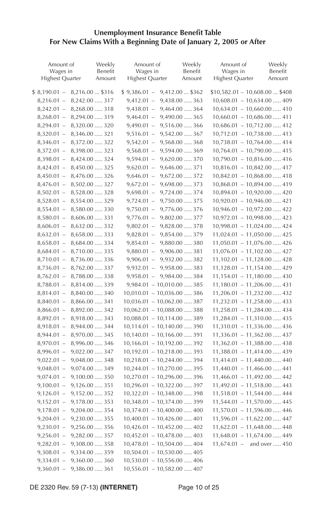#### **Unemployment Insurance Benefit Table For New Claims With a Beginning Date of January 2, 2005 or After**

| Amount of<br>Wages in<br>Highest Quarter | Weekly<br>Benefit<br>Amount | Amount of<br>Wages in<br><b>Highest Quarter</b> | Weekly<br>Benefit<br>Amount          | Amount of<br>Wages in<br><b>Highest Quarter</b> | Weekly<br>Benefit<br>Amount |
|------------------------------------------|-----------------------------|-------------------------------------------------|--------------------------------------|-------------------------------------------------|-----------------------------|
| $$8,190.01 -$<br>8,216.00  \$316         |                             | $$9,386.01 -$                                   | 9,412.00  \$362                      | $$10,582.01 - 10,608.00  $408$                  |                             |
| 8,242.00  317<br>$8,216.01 -$            |                             | $9,412.01 -$                                    | 9,438.00  363                        | $10,608.01 - 10,634.00 \ldots$ . 409            |                             |
| 8,268.00  318<br>$8,242.01 -$            |                             | $9,438.01 -$                                    | 9,464.00  364                        | $10,634.01 - 10,660.00 \ldots$ . 410            |                             |
| $8,268.01 - 8,294.00 \dots 319$          |                             | $9,464.01 -$                                    | 9,490.00  365                        | $10,660.01 - 10,686.00 \ldots$ . 411            |                             |
| $8,294.01 - 8,320.00 \dots 320$          |                             | $9,490.01 -$                                    | 9,516.00  366                        | $10,686.01 - 10,712.00 \ldots$ . 412            |                             |
| $8,320.01 - 8,346.00 \ldots 321$         |                             | $9,516.01 -$                                    | 9,542.00  367                        | $10,712.01 - 10,738.00 \ldots$ . 413            |                             |
| $8,346.01 - 8,372.00 \ldots 322$         |                             | $9,542.01 -$                                    | 9,568.00  368                        | $10,738.01 - 10,764.00 \ldots$ . 414            |                             |
| $8,372.01 -$<br>8,398.00  323            |                             | $9,568.01 -$                                    | 9,594.00  369                        | $10,764.01 - 10,790.00 \ldots$ . 415            |                             |
| 8,424.00  324<br>$8,398.01 -$            |                             | $9,594.01 -$                                    | 9,620.00  370                        | $10,790.01 - 10,816.00 \ldots$ . 416            |                             |
| 8,450.00  325<br>$8,424.01 -$            |                             | $9,620.01 -$                                    | 9,646.00  371                        | $10,816.01 - 10,842.00 \ldots$ . 417            |                             |
| 8,476.00  326<br>$8,450.01 -$            |                             | $9,646.01 -$                                    | 9,672.00  372                        | $10,842.01 - 10,868.00 \ldots$ . 418            |                             |
| $8,476.01 -$<br>8,502.00  327            |                             | $9,672.01 -$                                    | 9,698.00  373                        | $10,868.01 - 10,894.00 \ldots$ . 419            |                             |
| 8,528.00  328<br>$8,502.01 -$            |                             | $9,698.01 -$                                    | 9,724.00  374                        | $10,894.01 - 10,920.00 \dots 420$               |                             |
| 8,554.00  329<br>$8,528.01 -$            |                             | $9,724.01 -$                                    | 9,750.00  375                        | $10,920.01 - 10,946.00 \ldots$ . 421            |                             |
| $8,554.01 -$<br>8,580.00  330            |                             | $9,750.01 -$                                    | 9,776.00  376                        | $10,946.01 - 10,972.00 \ldots$ . 422            |                             |
| $8,580.01 -$<br>8,606.00  331            |                             | $9,776.01 -$                                    | 9,802.00  377                        | $10,972.01 - 10,998.00 \dots$ 423               |                             |
| 8,632.00  332<br>$8,606.01 -$            |                             | $9,802.01 -$                                    | 9,828.00  378                        | $10,998.01 - 11,024.00 \ldots$ . 424            |                             |
| $8,632.01 -$<br>8,658.00  333            |                             | $9,828.01 -$                                    | 9,854.00  379                        | $11,024.01 - 11,050.00 \ldots$ . 425            |                             |
| $8,658.01 -$<br>8,684.00  334            |                             | $9,854.01 -$                                    | 9,880.00  380                        | $11,050.01 - 11,076.00 \ldots$ 426              |                             |
| $8,684.01 -$<br>8,710.00  335            |                             |                                                 | $9,880.01 - 9,906.00 \dots 381$      | $11,076.01 - 11,102.00 \ldots 427$              |                             |
| 8,736.00  336<br>$8,710.01 -$            |                             |                                                 | $9,906.01 - 9,932.00 \dots 382$      | $11,102.01 - 11,128.00 \ldots$ . 428            |                             |
| $8,736.01 -$<br>8,762.00  337            |                             |                                                 | $9,932.01 - 9,958.00 \dots 383$      | $11,128.01 - 11,154.00 \ldots$ 429              |                             |
| $8,762.01 -$<br>8,788.00  338            |                             |                                                 | $9,958.01 - 9,984.00 \dots 384$      | $11,154.01 - 11,180.00 \ldots$ 430              |                             |
| 8,814.00  339<br>$8,788.01 -$            |                             |                                                 | $9,984.01 - 10,010.00 \dots 385$     | $11,180.01 - 11,206.00 \ldots$ . 431            |                             |
| 8,840.00  340<br>$8,814.01 -$            |                             |                                                 | $10,010.01 - 10,036.00 \ldots$ 386   | $11,206.01 - 11,232.00 \ldots$ . 432            |                             |
| 8,866.00  341<br>$8,840.01 -$            |                             |                                                 | $10,036.01 - 10,062.00 \ldots$ 387   | $11,232.01 - 11,258.00 \ldots$ . 433            |                             |
| 8,892.00  342<br>$8,866.01 -$            |                             |                                                 | $10,062.01 - 10,088.00 \ldots$ 388   | $11,258.01 - 11,284.00 \ldots$ 434              |                             |
| 8,918.00  343<br>$8,892.01 -$            |                             |                                                 | $10,088.01 - 10,114.00 \ldots$ 389   | $11,284.01 - 11,310.00 \ldots$ . 435            |                             |
| 8,944.00  344<br>$8,918.01 -$            |                             |                                                 | $10,114.01 - 10,140.00 \ldots$ 390   | $11,310.01 - 11,336.00 \ldots$ 436              |                             |
| 8,970.00  345<br>$8,944.01 -$            |                             |                                                 | $10,140.01 - 10,166.00 \ldots$ 391   | $11,336.01 - 11,362.00 \ldots$ . 437            |                             |
| $8,970.01 -$<br>8,996.00  346            |                             |                                                 | $10,166.01 - 10,192.00 \ldots$ 392   | $11,362.01 - 11,388.00 \ldots$ . 438            |                             |
| $8,996.01 -$<br>9,022.00  347            |                             |                                                 | $10,192.01 - 10,218.00 \ldots$ 393   | $11,388.01 - 11,414.00 \ldots$ . 439            |                             |
| $9,022.01 -$<br>9,048.00  348            |                             |                                                 | $10,218.01 - 10,244.00 \ldots$ 394   | $11,414.01 - 11,440.00 \ldots$ . 440            |                             |
| $9,048.01 -$<br>9,074.00  349            |                             |                                                 | $10,244.01 - 10,270.00 \ldots$ 395   | $11,440.01 - 11,466.00 \ldots$ . 441            |                             |
| $9,074.01 -$<br>$9,100.00 \dots 350$     |                             |                                                 | $10,270.01 - 10,296.00 \ldots$ 396   | $11,466.01 - 11,492.00 \ldots$ . 442            |                             |
| 9,126.00  351<br>$9,100.01 -$            |                             |                                                 | $10,296.01 - 10,322.00 \ldots$ 397   | $11,492.01 - 11,518.00 \ldots$ . 443            |                             |
| $9,126.01 -$<br>9,152.00  352            |                             |                                                 | $10,322.01 - 10,348.00 \ldots$ 398   | $11,518.01 - 11,544.00 \ldots$ . 444            |                             |
| 9,178.00  353<br>$9,152.01 -$            |                             |                                                 | $10,348.01 - 10,374.00 \ldots$ 399   | $11,544.01 - 11,570.00 \ldots$ . 445            |                             |
| 9,204.00  354<br>$9,178.01 -$            |                             |                                                 | $10,374.01 - 10,400.00 \ldots$ . 400 | $11,570.01 - 11,596.00 \ldots$ . 446            |                             |
| $9,230.00 \dots 355$<br>$9,204.01 -$     |                             |                                                 | $10,400.01 - 10,426.00 \ldots 401$   | $11,596.01 - 11,622.00 \ldots$ . 447            |                             |
| 9,256.00  356<br>$9,230.01 -$            |                             |                                                 | $10,426.01 - 10,452.00 \ldots$ . 402 | $11,622.01 - 11,648.00 \ldots$ . 448            |                             |
| 9,282.00  357<br>$9,256.01 -$            |                             |                                                 | $10,452.01 - 10,478.00 \ldots$ . 403 | $11,648.01 - 11,674.00 \ldots$ . 449            |                             |
| 9,308.00  358<br>$9,282.01 -$            |                             |                                                 | $10,478.01 - 10,504.00 \ldots$ . 404 | $11,674.01 -$ and over  450                     |                             |
| $9,308.01 -$<br>9,334.00  359            |                             |                                                 | $10,504.01 - 10,530.00 \ldots$ . 405 |                                                 |                             |
| $9,334.01 -$<br>$9,360.00 \dots 360$     |                             |                                                 | $10,530.01 - 10,556.00 \ldots$ . 406 |                                                 |                             |
| $9,360.01 -$<br>9,386.00  361            |                             |                                                 | $10,556.01 - 10,582.00 \ldots$ . 407 |                                                 |                             |

DE 2320 Rev. 59 (7-13) **(INTERNET)** Page 10 of 25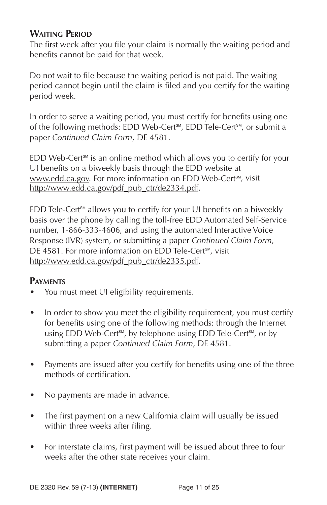# **WAITING PERIOD**

The first week after you file your claim is normally the waiting period and benefits cannot be paid for that week.

Do not wait to file because the waiting period is not paid. The waiting period cannot begin until the claim is filed and you certify for the waiting period week.

In order to serve a waiting period, you must certify for benefits using one of the following methods: EDD Web-Cert<sup>sM</sup>, EDD Tele-Cert<sup>sM</sup>, or submit a paper *Continued Claim Form*, DE 4581.

 $EDD$  Web-Cert<sup>sM</sup> is an online method which allows you to certify for your UI benefits on a biweekly basis through the EDD website at www.edd.ca.gov. For more information on EDD Web-Cert<sup>sм</sup>, visit http://www.edd.ca.gov/pdf\_pub\_ctr/de2334.pdf.

 $EDD$  Tele-Cert<sup>sM</sup> allows you to certify for your UI benefits on a biweekly basis over the phone by calling the toll-free EDD Automated Self-Service number, 1-866-333-4606, and using the automated Interactive Voice Response (IVR) system, or submitting a paper *Continued Claim Form*, DE 4581. For more information on EDD Tele-Cert<sup>™</sup>, visit http://www.edd.ca.gov/pdf\_pub\_ctr/de2335.pdf.

# **PAYMENTS**

- You must meet UI eligibility requirements.
- In order to show you meet the eligibility requirement, you must certify for benefits using one of the following methods: through the Internet using EDD Web-Cert<sup>sM</sup>, by telephone using EDD Tele-Cert<sup>sM</sup>, or by submitting a paper *Continued Claim Form*, DE 4581.
- Payments are issued after you certify for benefits using one of the three methods of certification.
- No payments are made in advance.
- The first payment on a new California claim will usually be issued within three weeks after filing.
- For interstate claims, first payment will be issued about three to four weeks after the other state receives your claim.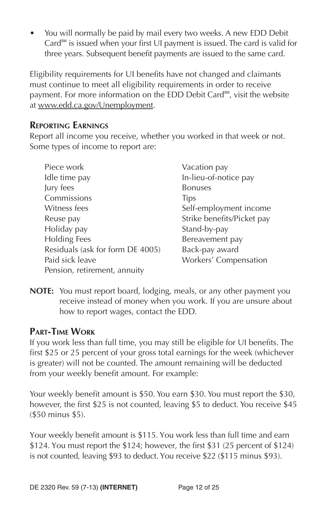• You will normally be paid by mail every two weeks. A new EDD Debit Card<sup>®M</sup> is issued when your first ∪I payment is issued. The card is valid for three years. Subsequent benefit payments are issued to the same card.

Eligibility requirements for UI benefits have not changed and claimants must continue to meet all eligibility requirements in order to receive payment. For more information on the EDD Debit Card<sup>®M</sup>, visit the website at www.edd.ca.gov/Unemployment.

### **REPORTING EARNINGS**

Report all income you receive, whether you worked in that week or not. Some types of income to report are:

| Piece work                       | Vacation pay               |
|----------------------------------|----------------------------|
| Idle time pay                    | In-lieu-of-notice pay      |
| Jury fees                        | <b>Bonuses</b>             |
| Commissions                      | <b>Tips</b>                |
| Witness fees                     | Self-employment income     |
| Reuse pay                        | Strike benefits/Picket pay |
| Holiday pay                      | Stand-by-pay               |
| <b>Holding Fees</b>              | Bereavement pay            |
| Residuals (ask for form DE 4005) | Back-pay award             |
| Paid sick leave                  | Workers' Compensation      |
| Pension, retirement, annuity     |                            |

**NOTE:** You must report board, lodging, meals, or any other payment you receive instead of money when you work. If you are unsure about how to report wages, contact the EDD.

# **PART-TIME WORK**

If you work less than full time, you may still be eligible for UI benefits. The first \$25 or 25 percent of your gross total earnings for the week (whichever is greater) will not be counted. The amount remaining will be deducted from your weekly benefit amount. For example:

Your weekly benefit amount is \$50. You earn \$30. You must report the \$30, however, the first \$25 is not counted, leaving \$5 to deduct. You receive \$45 (\$50 minus \$5).

Your weekly benefit amount is \$115. You work less than full time and earn \$124. You must report the \$124; however, the first \$31 (25 percent of \$124) is not counted, leaving \$93 to deduct. You receive \$22 (\$115 minus \$93).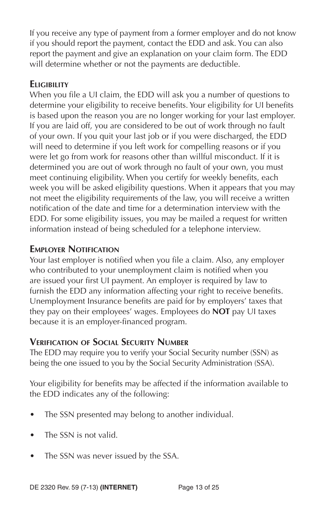If you receive any type of payment from a former employer and do not know if you should report the payment, contact the EDD and ask. You can also report the payment and give an explanation on your claim form. The EDD will determine whether or not the payments are deductible.

# **ELIGIBILITY**

When you file a UI claim, the EDD will ask you a number of questions to determine your eligibility to receive benefits. Your eligibility for UI benefits is based upon the reason you are no longer working for your last employer. If you are laid off, you are considered to be out of work through no fault of your own. If you quit your last job or if you were discharged, the EDD will need to determine if you left work for compelling reasons or if you were let go from work for reasons other than willful misconduct. If it is determined you are out of work through no fault of your own, you must meet continuing eligibility. When you certify for weekly benefits, each week you will be asked eligibility questions. When it appears that you may not meet the eligibility requirements of the law, you will receive a written notification of the date and time for a determination interview with the EDD. For some eligibility issues, you may be mailed a request for written information instead of being scheduled for a telephone interview.

# **EMPLOYER NOTIFICATION**

Your last employer is notified when you file a claim. Also, any employer who contributed to your unemployment claim is notified when you are issued your first UI payment. An employer is required by law to furnish the EDD any information affecting your right to receive benefits. Unemployment Insurance benefits are paid for by employers' taxes that they pay on their employees' wages. Employees do **NOT** pay UI taxes because it is an employer-financed program.

### **VERIFICATION OF SOCIAL SECURITY NUMBER**

The EDD may require you to verify your Social Security number (SSN) as being the one issued to you by the Social Security Administration (SSA).

Your eligibility for benefits may be affected if the information available to the EDD indicates any of the following:

- The SSN presented may belong to another individual.
- The SSN is not valid.
- The SSN was never issued by the SSA.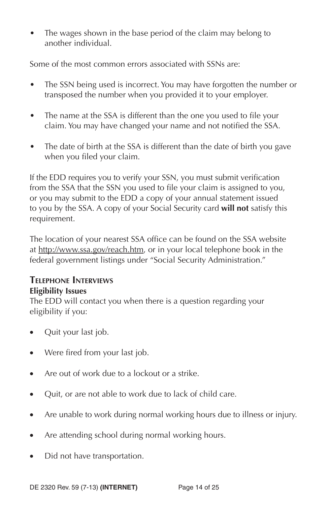The wages shown in the base period of the claim may belong to another individual.

Some of the most common errors associated with SSNs are:

- The SSN being used is incorrect. You may have forgotten the number or transposed the number when you provided it to your employer.
- The name at the SSA is different than the one you used to file your claim. You may have changed your name and not notified the SSA.
- The date of birth at the SSA is different than the date of birth you gave when you filed your claim.

If the EDD requires you to verify your SSN, you must submit verification from the SSA that the SSN you used to file your claim is assigned to you, or you may submit to the EDD a copy of your annual statement issued to you by the SSA. A copy of your Social Security card **will not** satisfy this requirement.

The location of your nearest SSA office can be found on the SSA website at http://www.ssa.gov/reach.htm, or in your local telephone book in the federal government listings under "Social Security Administration."

# **TELEPHONE INTERVIEWS Eligibility Issues**

The EDD will contact you when there is a question regarding your eligibility if you:

- Quit your last job.
- Were fired from your last job.
- Are out of work due to a lockout or a strike.
- Quit, or are not able to work due to lack of child care.
- Are unable to work during normal working hours due to illness or injury.
- Are attending school during normal working hours.
- Did not have transportation.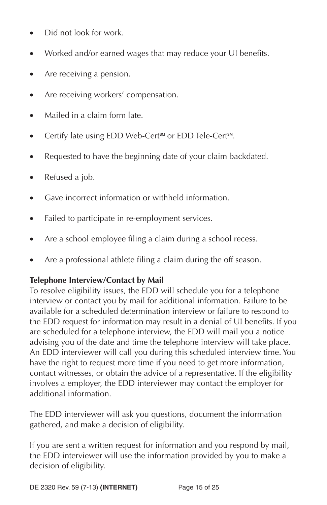- Did not look for work.
- Worked and/or earned wages that may reduce your UI benefits.
- Are receiving a pension.
- Are receiving workers' compensation.
- Mailed in a claim form late.
- Certify late using EDD Web-Cert<sup>SM</sup> or EDD Tele-Cert<sup>SM</sup>.
- Requested to have the beginning date of your claim backdated.
- Refused a job.
- Gave incorrect information or withheld information.
- Failed to participate in re-employment services.
- Are a school employee filing a claim during a school recess.
- Are a professional athlete filing a claim during the off season.

#### **Telephone Interview/Contact by Mail**

To resolve eligibility issues, the EDD will schedule you for a telephone interview or contact you by mail for additional information. Failure to be available for a scheduled determination interview or failure to respond to the EDD request for information may result in a denial of UI benefits. If you are scheduled for a telephone interview, the EDD will mail you a notice advising you of the date and time the telephone interview will take place. An EDD interviewer will call you during this scheduled interview time. You have the right to request more time if you need to get more information, contact witnesses, or obtain the advice of a representative. If the eligibility involves a employer, the EDD interviewer may contact the employer for additional information.

The EDD interviewer will ask you questions, document the information gathered, and make a decision of eligibility.

If you are sent a written request for information and you respond by mail, the EDD interviewer will use the information provided by you to make a decision of eligibility.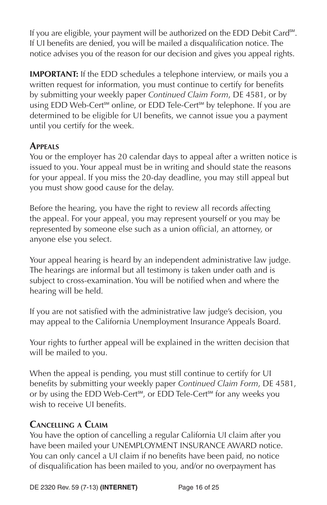If you are eligible, your payment will be authorized on the EDD Debit Card<sup>s™</sup>. If UI benefits are denied, you will be mailed a disqualification notice. The notice advises you of the reason for our decision and gives you appeal rights.

**IMPORTANT:** If the EDD schedules a telephone interview, or mails you a written request for information, you must continue to certify for benefits by submitting your weekly paper *Continued Claim Form*, DE 4581, or by using EDD Web-Cert<sup>sM</sup> online, or EDD Tele-Cert<sup>sM</sup> by telephone. If you are determined to be eligible for UI benefits, we cannot issue you a payment until you certify for the week.

# **APPEALS**

You or the employer has 20 calendar days to appeal after a written notice is issued to you. Your appeal must be in writing and should state the reasons for your appeal. If you miss the 20-day deadline, you may still appeal but you must show good cause for the delay.

Before the hearing, you have the right to review all records affecting the appeal. For your appeal, you may represent yourself or you may be represented by someone else such as a union official, an attorney, or anyone else you select.

Your appeal hearing is heard by an independent administrative law judge. The hearings are informal but all testimony is taken under oath and is subject to cross-examination. You will be notified when and where the hearing will be held.

If you are not satisfied with the administrative law judge's decision, you may appeal to the California Unemployment Insurance Appeals Board.

Your rights to further appeal will be explained in the written decision that will be mailed to you.

When the appeal is pending, you must still continue to certify for UI benefits by submitting your weekly paper *Continued Claim Form*, DE 4581, or by using the EDD Web-Cert<sup>sM</sup>, or EDD Tele-Cert<sup>sM</sup> for any weeks you wish to receive UI benefits.

### **CANCELLING A CLAIM**

You have the option of cancelling a regular California UI claim after you have been mailed your UNEMPLOYMENT INSURANCE AWARD notice. You can only cancel a UI claim if no benefits have been paid, no notice of disqualification has been mailed to you, and/or no overpayment has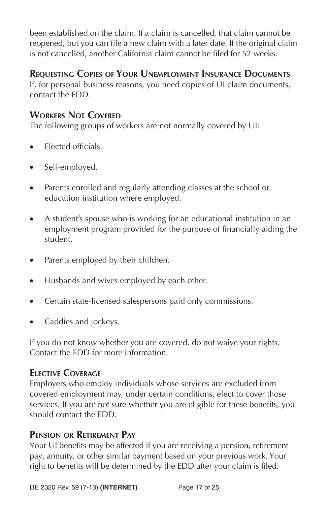been established on the claim. If a claim is cancelled, that claim cannot be reopened, but you can file a new claim with a later date. If the original claim is not cancelled, another California claim cannot be filed for 52 weeks.

# **REQUESTING COPIES OF YOUR UNEMPLOYMENT INSURANCE DOCUMENTS**

If, for personal business reasons, you need copies of UI claim documents, contact the EDD.

# **WORKERS NOT COVERED**

The following groups of workers are not normally covered by UI:

- Elected officials.
- Self-employed.
- Parents enrolled and regularly attending classes at the school or education institution where employed.
- A student's spouse who is working for an educational institution in an employment program provided for the purpose of financially aiding the student.
- Parents employed by their children.
- Husbands and wives employed by each other.
- Certain state-licensed salespersons paid only commissions.
- Caddies and jockeys.

If you do not know whether you are covered, do not waive your rights. Contact the EDD for more information.

# **ELECTIVE COVERAGE**

Employers who employ individuals whose services are excluded from covered employment may, under certain conditions, elect to cover those services. If you are not sure whether you are eligible for these benefits, you should contact the EDD.

### **PENSION OR RETIREMENT PAY**

Your UI benefits may be affected if you are receiving a pension, retirement pay, annuity, or other similar payment based on your previous work. Your right to benefits will be determined by the EDD after your claim is filed.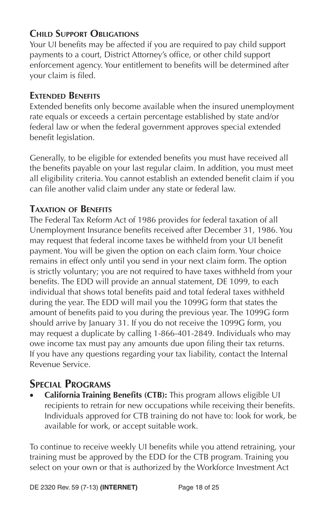# **CHILD SUPPORT OBLIGATIONS**

Your UI benefits may be affected if you are required to pay child support payments to a court, District Attorney's office, or other child support enforcement agency. Your entitlement to benefits will be determined after your claim is filed.

### **EXTENDED BENEFITS**

Extended benefits only become available when the insured unemployment rate equals or exceeds a certain percentage established by state and/or federal law or when the federal government approves special extended benefit legislation.

Generally, to be eligible for extended benefits you must have received all the benefits payable on your last regular claim. In addition, you must meet all eligibility criteria. You cannot establish an extended benefit claim if you can file another valid claim under any state or federal law.

# **TAXATION OF BENEFITS**

The Federal Tax Reform Act of 1986 provides for federal taxation of all Unemployment Insurance benefits received after December 31, 1986. You may request that federal income taxes be withheld from your UI benefit payment. You will be given the option on each claim form. Your choice remains in effect only until you send in your next claim form. The option is strictly voluntary; you are not required to have taxes withheld from your benefits. The EDD will provide an annual statement, DE 1099, to each individual that shows total benefits paid and total federal taxes withheld during the year. The EDD will mail you the 1099G form that states the amount of benefits paid to you during the previous year. The 1099G form should arrive by January 31. If you do not receive the 1099G form, you may request a duplicate by calling 1-866-401-2849. Individuals who may owe income tax must pay any amounts due upon filing their tax returns. If you have any questions regarding your tax liability, contact the Internal Revenue Service.

# **SPECIAL PROGRAMS**

**California Training Benefits (CTB):** This program allows eligible UI recipients to retrain for new occupations while receiving their benefits. Individuals approved for CTB training do not have to: look for work, be available for work, or accept suitable work.

To continue to receive weekly UI benefits while you attend retraining, your training must be approved by the EDD for the CTB program. Training you select on your own or that is authorized by the Workforce Investment Act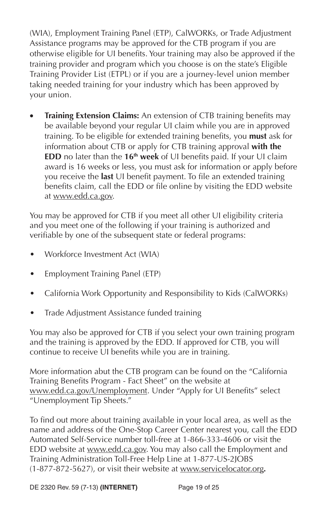(WIA), Employment Training Panel (ETP), CalWORKs, or Trade Adjustment Assistance programs may be approved for the CTB program if you are otherwise eligible for UI benefits. Your training may also be approved if the training provider and program which you choose is on the state's Eligible Training Provider List (ETPL) or if you are a journey-level union member taking needed training for your industry which has been approved by your union.

**Training Extension Claims:** An extension of CTB training benefits may be available beyond your regular UI claim while you are in approved training. To be eligible for extended training benefits, you must ask for information about CTB or apply for CTB training approval **with the EDD** no later than the 16<sup>th</sup> week of UI benefits paid. If your UI claim award is 16 weeks or less, you must ask for information or apply before you receive the **last** UI benefit payment. To file an extended training benefits claim, call the EDD or file online by visiting the EDD website at www.edd.ca.gov.

You may be approved for CTB if you meet all other UI eligibility criteria and you meet one of the following if your training is authorized and verifiable by one of the subsequent state or federal programs:

- Workforce Investment Act (WIA)
- Employment Training Panel (ETP)
- California Work Opportunity and Responsibility to Kids (CalWORKs)
- Trade Adjustment Assistance funded training

You may also be approved for CTB if you select your own training program and the training is approved by the EDD. If approved for CTB, you will continue to receive UI benefits while you are in training.

More information abut the CTB program can be found on the "California Training Benefits Program - Fact Sheet" on the website at www.edd.ca.gov/Unemployment. Under "Apply for UI Benefits" select "Unemployment Tip Sheets."

To find out more about training available in your local area, as well as the name and address of the One-Stop Career Center nearest you, call the EDD Automated Self-Service number toll-free at 1-866-333-4606 or visit the EDD website at www.edd.ca.gov. You may also call the Employment and Training Administration Toll-Free Help Line at 1-877-US-2JOBS (1-877-872-5627), or visit their website at www.servicelocator.org*.*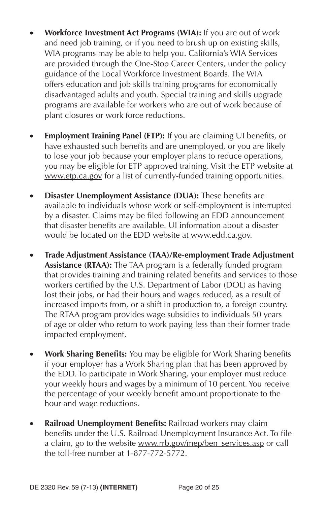- **Workforce Investment Act Programs (WIA):** If you are out of work and need job training, or if you need to brush up on existing skills, WIA programs may be able to help you. California's WIA Services are provided through the One-Stop Career Centers, under the policy guidance of the Local Workforce Investment Boards. The WIA offers education and job skills training programs for economically disadvantaged adults and youth. Special training and skills upgrade programs are available for workers who are out of work because of plant closures or work force reductions.
- **Employment Training Panel (ETP):** If you are claiming UI benefits, or have exhausted such benefits and are unemployed, or you are likely to lose your job because your employer plans to reduce operations, you may be eligible for ETP approved training. Visit the ETP website at www.etp.ca.gov for a list of currently-funded training opportunities.
- **Disaster Unemployment Assistance (DUA):** These benefits are available to individuals whose work or self-employment is interrupted by a disaster. Claims may be filed following an EDD announcement that disaster benefits are available. UI information about a disaster would be located on the EDD website at www.edd.ca.gov.
- **Trade Adjustment Assistance (TAA)/Re-employment Trade Adjustment Assistance (RTAA):** The TAA program is a federally funded program that provides training and training related benefits and services to those workers certified by the U.S. Department of Labor (DOL) as having lost their jobs, or had their hours and wages reduced, as a result of increased imports from, or a shift in production to, a foreign country. The RTAA program provides wage subsidies to individuals 50 years of age or older who return to work paying less than their former trade impacted employment.
- **Work Sharing Benefits:** You may be eligible for Work Sharing benefits if your employer has a Work Sharing plan that has been approved by the EDD. To participate in Work Sharing, your employer must reduce your weekly hours and wages by a minimum of 10 percent. You receive the percentage of your weekly benefit amount proportionate to the hour and wage reductions.
- **Railroad Unemployment Benefits: Railroad workers may claim** benefits under the U.S. Railroad Unemployment Insurance Act. To file a claim, go to the website www.rrb.gov/mep/ben\_services.asp or call the toll-free number at 1-877-772-5772.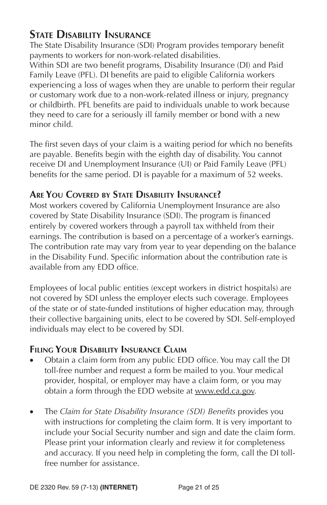# **STATE DISABILITY INSURANCE**

The State Disability Insurance (SDI) Program provides temporary benefit payments to workers for non-work-related disabilities.

Within SDI are two benefit programs, Disability Insurance (DI) and Paid Family Leave (PFL). DI benefits are paid to eligible California workers experiencing a loss of wages when they are unable to perform their regular or customary work due to a non-work-related illness or injury, pregnancy or childbirth. PFL benefits are paid to individuals unable to work because they need to care for a seriously ill family member or bond with a new minor child.

The first seven days of your claim is a waiting period for which no benefits are payable. Benefits begin with the eighth day of disability. You cannot receive DI and Unemployment Insurance (UI) or Paid Family Leave (PFL) benefits for the same period. DI is payable for a maximum of 52 weeks.

# **ARE YOU COVERED BY STATE DISABILITY INSURANCE?**

Most workers covered by California Unemployment Insurance are also covered by State Disability Insurance (SDI). The program is financed entirely by covered workers through a payroll tax withheld from their earnings. The contribution is based on a percentage of a worker's earnings. The contribution rate may vary from year to year depending on the balance in the Disability Fund. Specific information about the contribution rate is available from any EDD office.

Employees of local public entities (except workers in district hospitals) are not covered by SDI unless the employer elects such coverage. Employees of the state or of state-funded institutions of higher education may, through their collective bargaining units, elect to be covered by SDI. Self-employed individuals may elect to be covered by SDI.

# **FILING YOUR DISABILITY INSURANCE CLAIM**

- Obtain a claim form from any public EDD office. You may call the DI toll-free number and request a form be mailed to you. Your medical provider, hospital, or employer may have a claim form, or you may obtain a form through the EDD website at www.edd.ca.gov.
- The *Claim for State Disability Insurance (SDI)* Benefits provides you with instructions for completing the claim form. It is very important to include your Social Security number and sign and date the claim form. Please print your information clearly and review it for completeness and accuracy. If you need help in completing the form, call the DI tollfree number for assistance.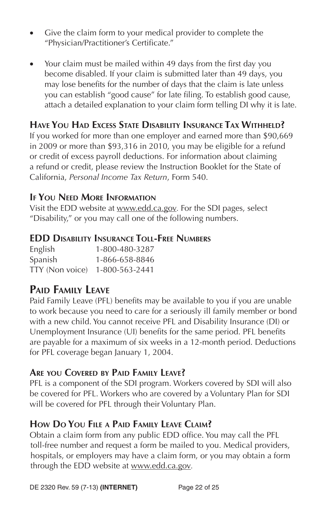- Give the claim form to your medical provider to complete the "Physician/Practitioner's Certificate."
- Your claim must be mailed within 49 days from the first day you become disabled. If your claim is submitted later than 49 days, you may lose benefits for the number of days that the claim is late unless you can establish "good cause" for late filing. To establish good cause, attach a detailed explanation to your claim form telling DI why it is late.

# **HAVE YOU HAD EXCESS STATE DISABILITY INSURANCE TAX WITHHELD?**

If you worked for more than one employer and earned more than \$90,669 in 2009 or more than \$93,316 in 2010, you may be eligible for a refund or credit of excess payroll deductions. For information about claiming a refund or credit, please review the Instruction Booklet for the State of California, *Personal Income Tax Return*, Form 540.

# **IF YOU NEED MORE INFORMATION**

Visit the EDD website at www.edd.ca.gov*.* For the SDI pages, select "Disability," or you may call one of the following numbers.

# **EDD DISABILITY INSURANCE TOLL-FREE NUMBERS**

| English         | 1-800-480-3287 |
|-----------------|----------------|
| Spanish         | 1-866-658-8846 |
| TTY (Non voice) | 1-800-563-2441 |

# **PAID FAMILY LEAVE**

Paid Family Leave (PFL) benefits may be available to you if you are unable to work because you need to care for a seriously ill family member or bond with a new child. You cannot receive PFL and Disability Insurance (DI) or Unemployment Insurance (UI) benefits for the same period. PFL benefits are payable for a maximum of six weeks in a 12-month period. Deductions for PFL coverage began January 1, 2004.

# **ARE YOU COVERED BY PAID FAMILY LEAVE?**

PFL is a component of the SDI program. Workers covered by SDI will also be covered for PFL. Workers who are covered by a Voluntary Plan for SDI will be covered for PFL through their Voluntary Plan.

# **HOW DO YOU FILE A PAID FAMILY LEAVE CLAIM?**

Obtain a claim form from any public EDD office. You may call the PFL toll-free number and request a form be mailed to you. Medical providers, hospitals, or employers may have a claim form, or you may obtain a form through the EDD website at www.edd.ca.gov*.*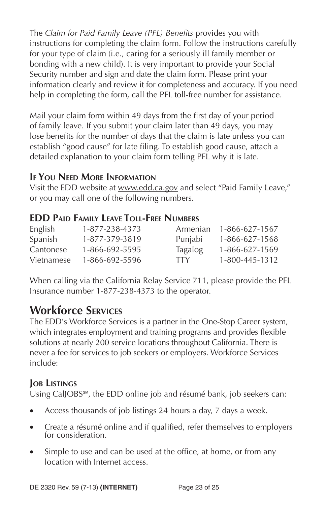The *Claim for Paid Family Leave (PFL) Benefits* provides you with instructions for completing the claim form. Follow the instructions carefully for your type of claim (i.e., caring for a seriously ill family member or bonding with a new child). It is very important to provide your Social Security number and sign and date the claim form. Please print your information clearly and review it for completeness and accuracy. If you need help in completing the form, call the PFL toll-free number for assistance.

Mail your claim form within 49 days from the first day of your period of family leave. If you submit your claim later than 49 days, you may lose benefits for the number of days that the claim is late unless you can establish "good cause" for late filing. To establish good cause, attach a detailed explanation to your claim form telling PFL why it is late.

# **IF YOU NEED MORE INFORMATION**

Visit the EDD website at www.edd.ca.gov and select "Paid Family Leave," or you may call one of the following numbers.

# **EDD PAID FAMILY LEAVE TOLL-FREE NUMBERS**

| English    | 1-877-238-4373 | Armenian       | 1-866-627-1567 |
|------------|----------------|----------------|----------------|
| Spanish    | 1-877-379-3819 | Punjabi        | 1-866-627-1568 |
| Cantonese  | 1-866-692-5595 | <b>Tagalog</b> | 1-866-627-1569 |
| Vietnamese | 1-866-692-5596 | TTY.           | 1-800-445-1312 |

When calling via the California Relay Service 711, please provide the PFL Insurance number 1-877-238-4373 to the operator.

# **Workforce SERVICES**

The EDD's Workforce Services is a partner in the One-Stop Career system, which integrates employment and training programs and provides flexible solutions at nearly 200 service locations throughout California. There is never a fee for services to job seekers or employers. Workforce Services include:

# **JOB LISTINGS**

Using CalJOBS<sup>SM</sup>, the EDD online job and résumé bank, job seekers can:

- Access thousands of job listings 24 hours a day, 7 days a week.
- Create a résumé online and if qualified, refer themselves to employers for consideration.
- Simple to use and can be used at the office, at home, or from any location with Internet access.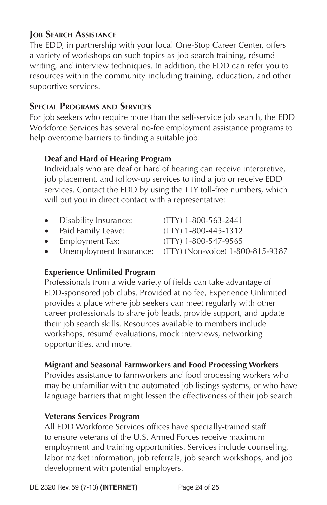# **JOB SEARCH ASSISTANCE**

The EDD, in partnership with your local One-Stop Career Center, offers a variety of workshops on such topics as job search training, résumé writing, and interview techniques. In addition, the EDD can refer you to resources within the community including training, education, and other supportive services.

# **SPECIAL PROGRAMS AND SERVICES**

For job seekers who require more than the self-service job search, the EDD Workforce Services has several no-fee employment assistance programs to help overcome barriers to finding a suitable job:

### **Deaf and Hard of Hearing Program**

Individuals who are deaf or hard of hearing can receive interpretive, job placement, and follow-up services to find a job or receive EDD services. Contact the EDD by using the TTY toll-free numbers, which will put you in direct contact with a representative:

| • Disability Insurance: | $(TTY)$ 1-800-563-2441                                     |
|-------------------------|------------------------------------------------------------|
| • Paid Family Leave:    | $(TTY)$ 1-800-445-1312                                     |
| • Employment Tax:       | (TTY) 1-800-547-9565                                       |
|                         | • Unemployment Insurance: (TTY) (Non-voice) 1-800-815-9387 |

# **Experience Unlimited Program**

Professionals from a wide variety of fields can take advantage of EDD-sponsored job clubs. Provided at no fee, Experience Unlimited provides a place where job seekers can meet regularly with other career professionals to share job leads, provide support, and update their job search skills. Resources available to members include workshops, résumé evaluations, mock interviews, networking opportunities, and more.

# **Migrant and Seasonal Farmworkers and Food Processing Workers**

Provides assistance to farmworkers and food processing workers who may be unfamiliar with the automated job listings systems, or who have language barriers that might lessen the effectiveness of their job search.

### **Veterans Services Program**

All EDD Workforce Services offices have specially-trained staff to ensure veterans of the U.S. Armed Forces receive maximum employment and training opportunities. Services include counseling, labor market information, job referrals, job search workshops, and job development with potential employers.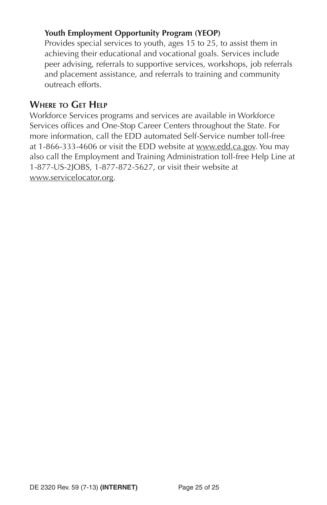### **Youth Employment Opportunity Program (YEOP)**

Provides special services to youth, ages 15 to 25, to assist them in achieving their educational and vocational goals. Services include peer advising, referrals to supportive services, workshops, job referrals and placement assistance, and referrals to training and community outreach efforts.

### **WHERE TO GET HELP**

Workforce Services programs and services are available in Workforce Services offices and One-Stop Career Centers throughout the State. For more information, call the EDD automated Self-Service number toll-free at 1-866-333-4606 or visit the EDD website at www.edd.ca.gov. You may also call the Employment and Training Administration toll-free Help Line at 1-877-US-2JOBS, 1-877-872-5627, or visit their website at www.servicelocator.org.